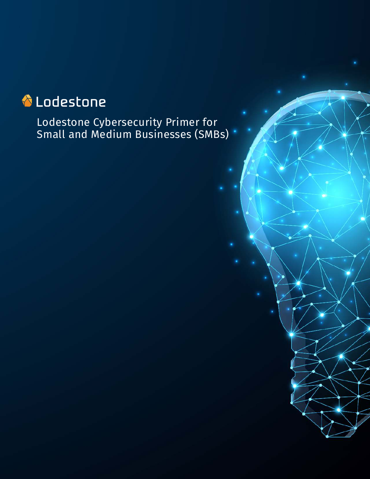# Lodestone

Lodestone Cybersecurity Primer for Small and Medium Businesses (SMBs)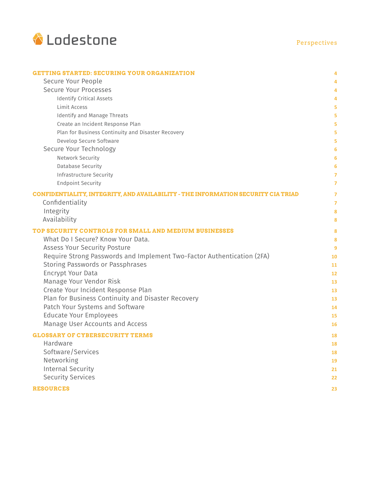

| <b>GETTING STARTED: SECURING YOUR ORGANIZATION</b>                                       | 4              |
|------------------------------------------------------------------------------------------|----------------|
| Secure Your People                                                                       | 4              |
| Secure Your Processes                                                                    | 4              |
| <b>Identify Critical Assets</b>                                                          | 4              |
| Limit Access                                                                             | 5              |
| Identify and Manage Threats                                                              | 5              |
| Create an Incident Response Plan                                                         | 5              |
| Plan for Business Continuity and Disaster Recovery                                       | 5              |
| Develop Secure Software                                                                  | 5              |
| Secure Your Technology                                                                   | 6              |
| Network Security                                                                         | 6              |
| <b>Database Security</b>                                                                 | 6              |
| Infrastructure Security                                                                  | $\overline{7}$ |
| <b>Endpoint Security</b>                                                                 | $\overline{7}$ |
| <b>CONFIDENTIALITY, INTEGRITY, AND AVAILABILITY - THE INFORMATION SECURITY CIA TRIAD</b> | 7              |
| Confidentiality                                                                          | 7              |
| Integrity                                                                                | 8              |
| Availability                                                                             | 8              |
| TOP SECURITY CONTROLS FOR SMALL AND MEDIUM BUSINESSES                                    | 8              |
| What Do I Secure? Know Your Data.                                                        | 8              |
| <b>Assess Your Security Posture</b>                                                      | 9              |
| Require Strong Passwords and Implement Two-Factor Authentication (2FA)                   | 10             |
| Storing Passwords or Passphrases                                                         | 11             |
| Encrypt Your Data                                                                        | 12             |
| Manage Your Vendor Risk                                                                  | 13             |
| Create Your Incident Response Plan                                                       | 13             |
| Plan for Business Continuity and Disaster Recovery                                       | 13             |
| Patch Your Systems and Software                                                          | 14             |
| <b>Educate Your Employees</b>                                                            | 15             |
| Manage User Accounts and Access                                                          | 16             |
| <b>GLOSSARY OF CYBERSECURITY TERMS</b>                                                   | 18             |
| Hardware                                                                                 | 18             |
| Software/Services                                                                        | 18             |
| Networking                                                                               | 19             |
| <b>Internal Security</b>                                                                 | 21             |
| <b>Security Services</b>                                                                 | 22             |
| <b>RESOURCES</b>                                                                         | 23             |
|                                                                                          |                |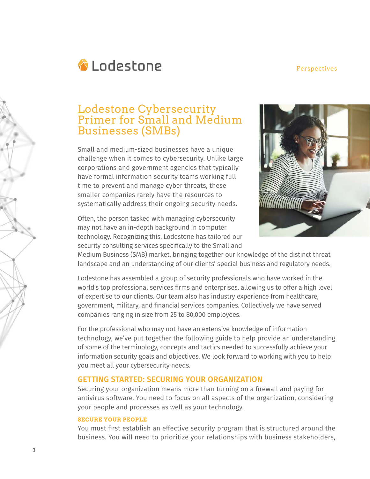

## Lodestone Cybersecurity Primer for Small and Medium Businesses (SMBs)

Small and medium-sized businesses have a unique challenge when it comes to cybersecurity. Unlike large corporations and government agencies that typically have formal information security teams working full time to prevent and manage cyber threats, these smaller companies rarely have the resources to systematically address their ongoing security needs.

Often, the person tasked with managing cybersecurity may not have an in-depth background in computer technology. Recognizing this, Lodestone has tailored our security consulting services specifically to the Small and



Medium Business (SMB) market, bringing together our knowledge of the distinct threat landscape and an understanding of our clients' special business and regulatory needs.

Lodestone has assembled a group of security professionals who have worked in the world's top professional services firms and enterprises, allowing us to offer a high level of expertise to our clients. Our team also has industry experience from healthcare, government, military, and financial services companies. Collectively we have served companies ranging in size from 25 to 80,000 employees.

For the professional who may not have an extensive knowledge of information technology, we've put together the following guide to help provide an understanding of some of the terminology, concepts and tactics needed to successfully achieve your information security goals and objectives. We look forward to working with you to help you meet all your cybersecurity needs.

## **GETTING STARTED: SECURING YOUR ORGANIZATION**

Securing your organization means more than turning on a firewall and paying for antivirus software. You need to focus on all aspects of the organization, considering your people and processes as well as your technology.

#### **SECURE YOUR PEOPLE**

You must first establish an effective security program that is structured around the business. You will need to prioritize your relationships with business stakeholders,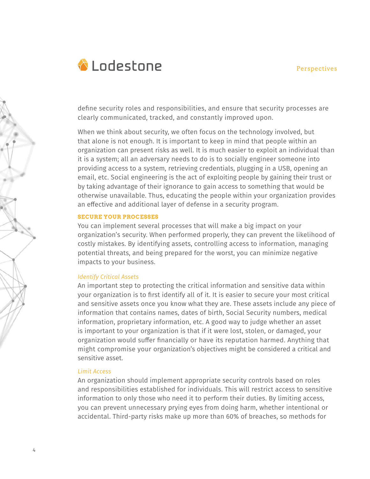

define security roles and responsibilities, and ensure that security processes are clearly communicated, tracked, and constantly improved upon.

When we think about security, we often focus on the technology involved, but that alone is not enough. It is important to keep in mind that people within an organization can present risks as well. It is much easier to exploit an individual than it is a system; all an adversary needs to do is to socially engineer someone into providing access to a system, retrieving credentials, plugging in a USB, opening an email, etc. Social engineering is the act of exploiting people by gaining their trust or by taking advantage of their ignorance to gain access to something that would be otherwise unavailable. Thus, educating the people within your organization provides an effective and additional layer of defense in a security program.

#### **SECURE YOUR PROCESSES**

You can implement several processes that will make a big impact on your organization's security. When performed properly, they can prevent the likelihood of costly mistakes. By identifying assets, controlling access to information, managing potential threats, and being prepared for the worst, you can minimize negative impacts to your business.

#### *Identify Critical Assets*

An important step to protecting the critical information and sensitive data within your organization is to first identify all of it. It is easier to secure your most critical and sensitive assets once you know what they are. These assets include any piece of information that contains names, dates of birth, Social Security numbers, medical information, proprietary information, etc. A good way to judge whether an asset is important to your organization is that if it were lost, stolen, or damaged, your organization would suffer financially or have its reputation harmed. Anything that might compromise your organization's objectives might be considered a critical and sensitive asset.

#### *Limit Access*

An organization should implement appropriate security controls based on roles and responsibilities established for individuals. This will restrict access to sensitive information to only those who need it to perform their duties. By limiting access, you can prevent unnecessary prying eyes from doing harm, whether intentional or accidental. Third-party risks make up more than 60% of breaches, so methods for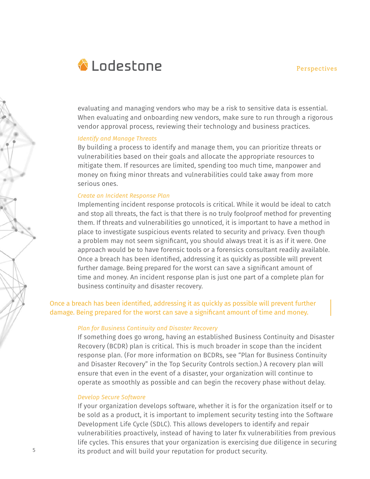

evaluating and managing vendors who may be a risk to sensitive data is essential. When evaluating and onboarding new vendors, make sure to run through a rigorous vendor approval process, reviewing their technology and business practices.

#### *Identify and Manage Threats*

By building a process to identify and manage them, you can prioritize threats or vulnerabilities based on their goals and allocate the appropriate resources to mitigate them. If resources are limited, spending too much time, manpower and money on fixing minor threats and vulnerabilities could take away from more serious ones.

#### *Create an Incident Response Plan*

Implementing incident response protocols is critical. While it would be ideal to catch and stop all threats, the fact is that there is no truly foolproof method for preventing them. If threats and vulnerabilities go unnoticed, it is important to have a method in place to investigate suspicious events related to security and privacy. Even though a problem may not seem significant, you should always treat it is as if it were. One approach would be to have forensic tools or a forensics consultant readily available. Once a breach has been identified, addressing it as quickly as possible will prevent further damage. Being prepared for the worst can save a significant amount of time and money. An incident response plan is just one part of a complete plan for business continuity and disaster recovery.

## Once a breach has been identified, addressing it as quickly as possible will prevent further damage. Being prepared for the worst can save a significant amount of time and money.

#### *Plan for Business Continuity and Disaster Recovery*

If something does go wrong, having an established Business Continuity and Disaster Recovery (BCDR) plan is critical. This is much broader in scope than the incident response plan. (For more information on BCDRs, see "Plan for Business Continuity and Disaster Recovery" in the Top Security Controls section.) A recovery plan will ensure that even in the event of a disaster, your organization will continue to operate as smoothly as possible and can begin the recovery phase without delay.

#### *Develop Secure Software*

If your organization develops software, whether it is for the organization itself or to be sold as a product, it is important to implement security testing into the Software Development Life Cycle (SDLC). This allows developers to identify and repair vulnerabilities proactively, instead of having to later fix vulnerabilities from previous life cycles. This ensures that your organization is exercising due diligence in securing its product and will build your reputation for product security.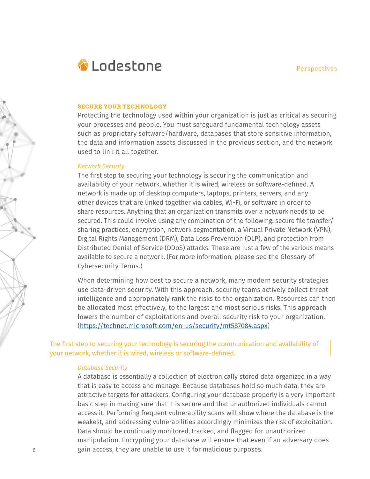

#### **SECURE YOUR TECHNOLOGY**

Protecting the technology used within your organization is just as critical as securing your processes and people. You must safeguard fundamental technology assets such as proprietary software/hardware, databases that store sensitive information, the data and information assets discussed in the previous section, and the network used to link it all together.

#### *Network Security*

The first step to securing your technology is securing the communication and availability of your network, whether it is wired, wireless or software-defined. A network is made up of desktop computers, laptops, printers, servers, and any other devices that are linked together via cables, Wi-Fi, or software in order to share resources. Anything that an organization transmits over a network needs to be secured. This could involve using any combination of the following: secure file transfer/ sharing practices, encryption, network segmentation, a Virtual Private Network (VPN), Digital Rights Management (DRM), Data Loss Prevention (DLP), and protection from Distributed Denial of Service (DDoS) attacks. These are just a few of the various means available to secure a network. (For more information, please see the Glossary of Cybersecurity Terms.)

When determining how best to secure a network, many modern security strategies use data-driven security. With this approach, security teams actively collect threat intelligence and appropriately rank the risks to the organization. Resources can then be allocated most effectively, to the largest and most serious risks. This approach lowers the number of exploitations and overall security risk to your organization. (https://technet.microsoft.com/en-us/security/mt587084.aspx)

The first step to securing your technology is securing the communication and availability of your network, whether it is wired, wireless or software-defined.

#### *Database Security*

A database is essentially a collection of electronically stored data organized in a way that is easy to access and manage. Because databases hold so much data, they are attractive targets for attackers. Configuring your database properly is a very important basic step in making sure that it is secure and that unauthorized individuals cannot access it. Performing frequent vulnerability scans will show where the database is the weakest, and addressing vulnerabilities accordingly minimizes the risk of exploitation. Data should be continually monitored, tracked, and flagged for unauthorized manipulation. Encrypting your database will ensure that even if an adversary does gain access, they are unable to use it for malicious purposes.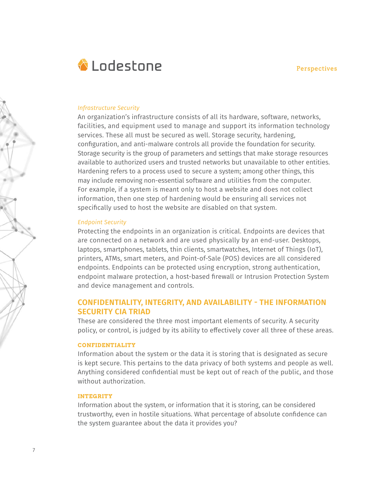

#### *Infrastructure Security*

An organization's infrastructure consists of all its hardware, software, networks, facilities, and equipment used to manage and support its information technology services. These all must be secured as well. Storage security, hardening, configuration, and anti-malware controls all provide the foundation for security. Storage security is the group of parameters and settings that make storage resources available to authorized users and trusted networks but unavailable to other entities. Hardening refers to a process used to secure a system; among other things, this may include removing non-essential software and utilities from the computer. For example, if a system is meant only to host a website and does not collect information, then one step of hardening would be ensuring all services not specifically used to host the website are disabled on that system.

#### *Endpoint Security*

Protecting the endpoints in an organization is critical. Endpoints are devices that are connected on a network and are used physically by an end-user. Desktops, laptops, smartphones, tablets, thin clients, smartwatches, Internet of Things (IoT), printers, ATMs, smart meters, and Point-of-Sale (POS) devices are all considered endpoints. Endpoints can be protected using encryption, strong authentication, endpoint malware protection, a host-based firewall or Intrusion Protection System and device management and controls.

## **CONFIDENTIALITY, INTEGRITY, AND AVAILABILITY - THE INFORMATION SECURITY CIA TRIAD**

These are considered the three most important elements of security. A security policy, or control, is judged by its ability to effectively cover all three of these areas.

#### **CONFIDENTIALITY**

Information about the system or the data it is storing that is designated as secure is kept secure. This pertains to the data privacy of both systems and people as well. Anything considered confidential must be kept out of reach of the public, and those without authorization.

#### **INTEGRITY**

Information about the system, or information that it is storing, can be considered trustworthy, even in hostile situations. What percentage of absolute confidence can the system guarantee about the data it provides you?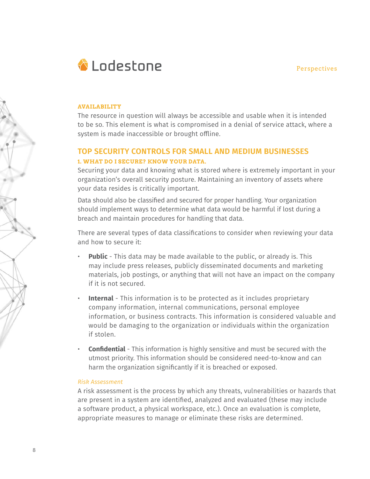

#### **AVAILABILITY**

The resource in question will always be accessible and usable when it is intended to be so. This element is what is compromised in a denial of service attack, where a system is made inaccessible or brought offline.

## **TOP SECURITY CONTROLS FOR SMALL AND MEDIUM BUSINESSES 1. WHAT DO I SECURE? KNOW YOUR DATA.**

Securing your data and knowing what is stored where is extremely important in your organization's overall security posture. Maintaining an inventory of assets where your data resides is critically important.

Data should also be classified and secured for proper handling. Your organization should implement ways to determine what data would be harmful if lost during a breach and maintain procedures for handling that data.

There are several types of data classifications to consider when reviewing your data and how to secure it:

- **Public** This data may be made available to the public, or already is. This may include press releases, publicly disseminated documents and marketing materials, job postings, or anything that will not have an impact on the company if it is not secured.
- **Internal** This information is to be protected as it includes proprietary company information, internal communications, personal employee information, or business contracts. This information is considered valuable and would be damaging to the organization or individuals within the organization if stolen.
- **Confidential** This information is highly sensitive and must be secured with the utmost priority. This information should be considered need-to-know and can harm the organization significantly if it is breached or exposed.

#### *Risk Assessment*

A risk assessment is the process by which any threats, vulnerabilities or hazards that are present in a system are identified, analyzed and evaluated (these may include a software product, a physical workspace, etc.). Once an evaluation is complete, appropriate measures to manage or eliminate these risks are determined.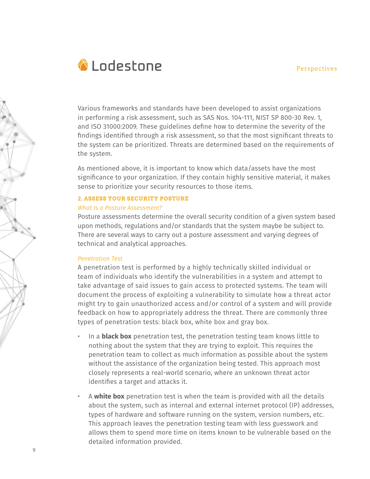

Various frameworks and standards have been developed to assist organizations in performing a risk assessment, such as SAS Nos. 104-111, NIST SP 800-30 Rev. 1, and ISO 31000:2009. These guidelines define how to determine the severity of the findings identified through a risk assessment, so that the most significant threats to the system can be prioritized. Threats are determined based on the requirements of the system.

As mentioned above, it is important to know which data/assets have the most significance to your organization. If they contain highly sensitive material, it makes sense to prioritize your security resources to those items.

#### **2. ASSESS YOUR SECURITY POSTURE**

#### *What Is a Posture Assessment?*

Posture assessments determine the overall security condition of a given system based upon methods, regulations and/or standards that the system maybe be subject to. There are several ways to carry out a posture assessment and varying degrees of technical and analytical approaches.

#### *Penetration Test*

A penetration test is performed by a highly technically skilled individual or team of individuals who identify the vulnerabilities in a system and attempt to take advantage of said issues to gain access to protected systems. The team will document the process of exploiting a vulnerability to simulate how a threat actor might try to gain unauthorized access and/or control of a system and will provide feedback on how to appropriately address the threat. There are commonly three types of penetration tests: black box, white box and gray box.

- In a **black box** penetration test, the penetration testing team knows little to nothing about the system that they are trying to exploit. This requires the penetration team to collect as much information as possible about the system without the assistance of the organization being tested. This approach most closely represents a real-world scenario, where an unknown threat actor identifies a target and attacks it.
- A **white box** penetration test is when the team is provided with all the details about the system, such as internal and external internet protocol (IP) addresses, types of hardware and software running on the system, version numbers, etc. This approach leaves the penetration testing team with less guesswork and allows them to spend more time on items known to be vulnerable based on the detailed information provided.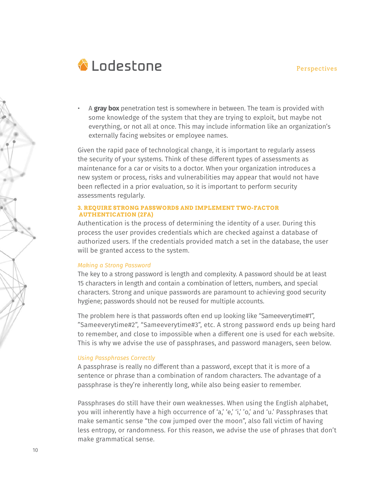

• A **gray box** penetration test is somewhere in between. The team is provided with some knowledge of the system that they are trying to exploit, but maybe not everything, or not all at once. This may include information like an organization's externally facing websites or employee names.

Given the rapid pace of technological change, it is important to regularly assess the security of your systems. Think of these different types of assessments as maintenance for a car or visits to a doctor. When your organization introduces a new system or process, risks and vulnerabilities may appear that would not have been reflected in a prior evaluation, so it is important to perform security assessments regularly.

#### **3. REQUIRE STRONG PASSWORDS AND IMPLEMENT TWO-FACTOR AUTHENTICATION (2FA)**

Authentication is the process of determining the identity of a user. During this process the user provides credentials which are checked against a database of authorized users. If the credentials provided match a set in the database, the user will be granted access to the system.

#### *Making a Strong Password*

The key to a strong password is length and complexity. A password should be at least 15 characters in length and contain a combination of letters, numbers, and special characters. Strong and unique passwords are paramount to achieving good security hygiene; passwords should not be reused for multiple accounts.

The problem here is that passwords often end up looking like "Sameeverytime#1", "Sameeverytime#2", "Sameeverytime#3", etc. A strong password ends up being hard to remember, and close to impossible when a different one is used for each website. This is why we advise the use of passphrases, and password managers, seen below.

#### *Using Passphrases Correctly*

A passphrase is really no different than a password, except that it is more of a sentence or phrase than a combination of random characters. The advantage of a passphrase is they're inherently long, while also being easier to remember.

Passphrases do still have their own weaknesses. When using the English alphabet, you will inherently have a high occurrence of 'a,' 'e,' 'i,' 'o,' and 'u.' Passphrases that make semantic sense "the cow jumped over the moon", also fall victim of having less entropy, or randomness. For this reason, we advise the use of phrases that don't make grammatical sense.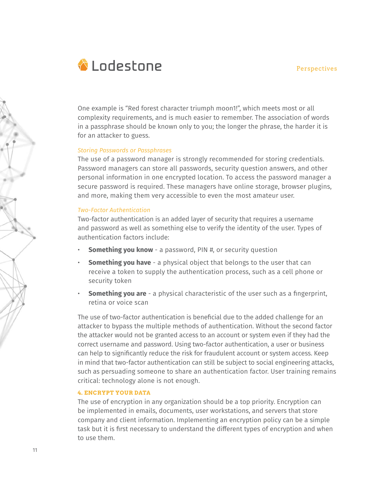

One example is "Red forest character triumph moon1!", which meets most or all complexity requirements, and is much easier to remember. The association of words in a passphrase should be known only to you; the longer the phrase, the harder it is for an attacker to guess.

#### *Storing Passwords or Passphrases*

The use of a password manager is strongly recommended for storing credentials. Password managers can store all passwords, security question answers, and other personal information in one encrypted location. To access the password manager a secure password is required. These managers have online storage, browser plugins, and more, making them very accessible to even the most amateur user.

#### *Two-Factor Authentication*

Two-factor authentication is an added layer of security that requires a username and password as well as something else to verify the identity of the user. Types of authentication factors include:

- **Something you know** a password, PIN #, or security question
- **Something you have** a physical object that belongs to the user that can receive a token to supply the authentication process, such as a cell phone or security token
- **Something you are** a physical characteristic of the user such as a fingerprint, retina or voice scan

The use of two-factor authentication is beneficial due to the added challenge for an attacker to bypass the multiple methods of authentication. Without the second factor the attacker would not be granted access to an account or system even if they had the correct username and password. Using two-factor authentication, a user or business can help to significantly reduce the risk for fraudulent account or system access. Keep in mind that two-factor authentication can still be subject to social engineering attacks, such as persuading someone to share an authentication factor. User training remains critical: technology alone is not enough.

#### **4. ENCRYPT YOUR DATA**

The use of encryption in any organization should be a top priority. Encryption can be implemented in emails, documents, user workstations, and servers that store company and client information. Implementing an encryption policy can be a simple task but it is first necessary to understand the different types of encryption and when to use them.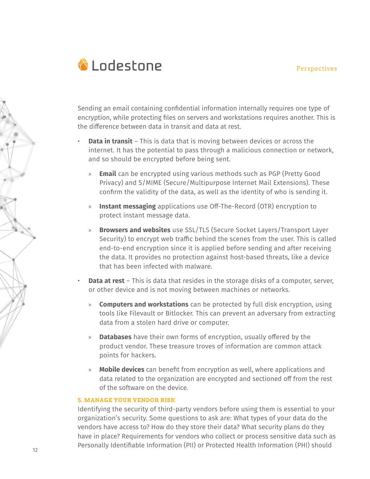

Sending an email containing confidential information internally requires one type of encryption, while protecting files on servers and workstations requires another. This is the difference between data in transit and data at rest.

- **Data in transit** This is data that is moving between devices or across the internet. It has the potential to pass through a malicious connection or network, and so should be encrypted before being sent.
	- » **Email** can be encrypted using various methods such as PGP (Pretty Good Privacy) and S/MIME (Secure/Multipurpose Internet Mail Extensions). These confirm the validity of the data, as well as the identity of who is sending it.
	- » **Instant messaging** applications use Off-The-Record (OTR) encryption to protect instant message data.
	- » **Browsers and websites** use SSL/TLS (Secure Socket Layers/Transport Layer Security) to encrypt web traffic behind the scenes from the user. This is called end-to-end encryption since it is applied before sending and after receiving the data. It provides no protection against host-based threats, like a device that has been infected with malware.
- **Data at rest** This is data that resides in the storage disks of a computer, server, or other device and is not moving between machines or networks.
	- » **Computers and workstations** can be protected by full disk encryption, using tools like Filevault or Bitlocker. This can prevent an adversary from extracting data from a stolen hard drive or computer.
	- » **Databases** have their own forms of encryption, usually offered by the product vendor. These treasure troves of information are common attack points for hackers.
	- » **Mobile devices** can benefit from encryption as well, where applications and data related to the organization are encrypted and sectioned off from the rest of the software on the device.

#### **5. MANAGE YOUR VENDOR RISK**

Identifying the security of third-party vendors before using them is essential to your organization's security. Some questions to ask are: What types of your data do the vendors have access to? How do they store their data? What security plans do they have in place? Requirements for vendors who collect or process sensitive data such as Personally Identifiable Information (PII) or Protected Health Information (PHI) should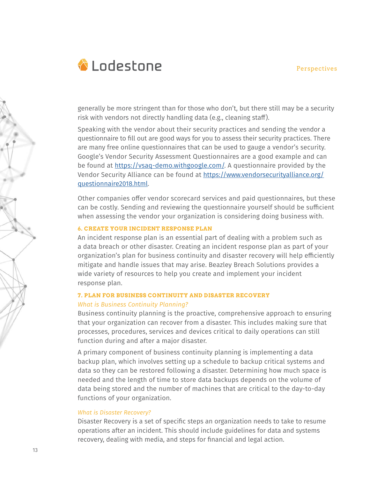

generally be more stringent than for those who don't, but there still may be a security risk with vendors not directly handling data (e.g., cleaning staff).

Speaking with the vendor about their security practices and sending the vendor a questionnaire to fill out are good ways for you to assess their security practices. There are many free online questionnaires that can be used to gauge a vendor's security. Google's Vendor Security Assessment Questionnaires are a good example and can be found at https://vsaq-demo.withgoogle.com/. A questionnaire provided by the Vendor Security Alliance can be found at https://www.vendorsecurityalliance.org/ questionnaire2018.html.

Other companies offer vendor scorecard services and paid questionnaires, but these can be costly. Sending and reviewing the questionnaire yourself should be sufficient when assessing the vendor your organization is considering doing business with.

#### **6. CREATE YOUR INCIDENT RESPONSE PLAN**

An incident response plan is an essential part of dealing with a problem such as a data breach or other disaster. Creating an incident response plan as part of your organization's plan for business continuity and disaster recovery will help efficiently mitigate and handle issues that may arise. Beazley Breach Solutions provides a wide variety of resources to help you create and implement your incident response plan.

## **7. PLAN FOR BUSINESS CONTINUITY AND DISASTER RECOVERY** *What is Business Continuity Planning?*

Business continuity planning is the proactive, comprehensive approach to ensuring that your organization can recover from a disaster. This includes making sure that processes, procedures, services and devices critical to daily operations can still function during and after a major disaster.

A primary component of business continuity planning is implementing a data backup plan, which involves setting up a schedule to backup critical systems and data so they can be restored following a disaster. Determining how much space is needed and the length of time to store data backups depends on the volume of data being stored and the number of machines that are critical to the day-to-day functions of your organization.

#### *What is Disaster Recovery?*

Disaster Recovery is a set of specific steps an organization needs to take to resume operations after an incident. This should include guidelines for data and systems recovery, dealing with media, and steps for financial and legal action.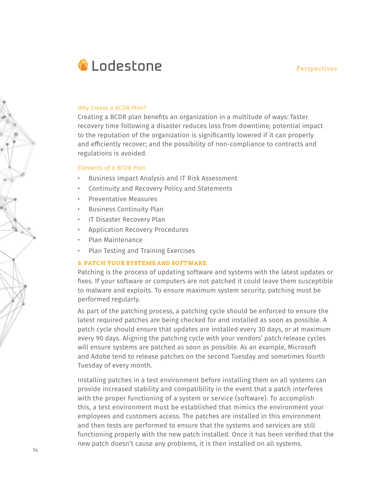

#### *Why Create a BCDR Plan?*

Creating a BCDR plan benefits an organization in a multitude of ways: faster recovery time following a disaster reduces loss from downtime; potential impact to the reputation of the organization is significantly lowered if it can properly and efficiently recover; and the possibility of non-compliance to contracts and regulations is avoided.

#### *Elements of a BCDR Plan*

- Business Impact Analysis and IT Risk Assessment
- Continuity and Recovery Policy and Statements
- Preventative Measures
- Business Continuity Plan
- IT Disaster Recovery Plan
- Application Recovery Procedures
- Plan Maintenance
- Plan Testing and Training Exercises

#### **8. PATCH YOUR SYSTEMS AND SOFTWARE**

Patching is the process of updating software and systems with the latest updates or fixes. If your software or computers are not patched it could leave them susceptible to malware and exploits. To ensure maximum system security, patching must be performed regularly.

As part of the patching process, a patching cycle should be enforced to ensure the latest required patches are being checked for and installed as soon as possible. A patch cycle should ensure that updates are installed every 30 days, or at maximum every 90 days. Aligning the patching cycle with your vendors' patch release cycles will ensure systems are patched as soon as possible. As an example, Microsoft and Adobe tend to release patches on the second Tuesday and sometimes fourth Tuesday of every month.

Installing patches in a test environment before installing them on all systems can provide increased stability and compatibility in the event that a patch interferes with the proper functioning of a system or service (software). To accomplish this, a test environment must be established that mimics the environment your employees and customers access. The patches are installed in this environment and then tests are performed to ensure that the systems and services are still functioning properly with the new patch installed. Once it has been verified that the new patch doesn't cause any problems, it is then installed on all systems.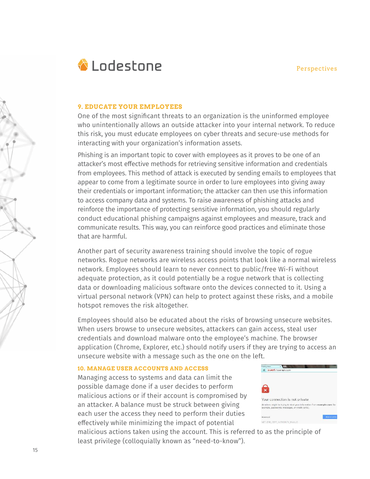

#### **9. EDUCATE YOUR EMPLOYEES**

One of the most significant threats to an organization is the uninformed employee who unintentionally allows an outside attacker into your internal network. To reduce this risk, you must educate employees on cyber threats and secure-use methods for interacting with your organization's information assets.

Phishing is an important topic to cover with employees as it proves to be one of an attacker's most effective methods for retrieving sensitive information and credentials from employees. This method of attack is executed by sending emails to employees that appear to come from a legitimate source in order to lure employees into giving away their credentials or important information; the attacker can then use this information to access company data and systems. To raise awareness of phishing attacks and reinforce the importance of protecting sensitive information, you should regularly conduct educational phishing campaigns against employees and measure, track and communicate results. This way, you can reinforce good practices and eliminate those that are harmful.

Another part of security awareness training should involve the topic of rogue networks. Rogue networks are wireless access points that look like a normal wireless network. Employees should learn to never connect to public/free Wi-Fi without adequate protection, as it could potentially be a rogue network that is collecting data or downloading malicious software onto the devices connected to it. Using a virtual personal network (VPN) can help to protect against these risks, and a mobile hotspot removes the risk altogether.

Employees should also be educated about the risks of browsing unsecure websites. When users browse to unsecure websites, attackers can gain access, steal user credentials and download malware onto the employee's machine. The browser application (Chrome, Explorer, etc.) should notify users if they are trying to access an unsecure website with a message such as the one on the left.

#### **10. MANAGE USER ACCOUNTS AND ACCESS**

Managing access to systems and data can limit the possible damage done if a user decides to perform malicious actions or if their account is compromised by an attacker. A balance must be struck between giving each user the access they need to perform their duties effectively while minimizing the impact of potential



malicious actions taken using the account. This is referred to as the principle of least privilege (colloquially known as "need-to-know").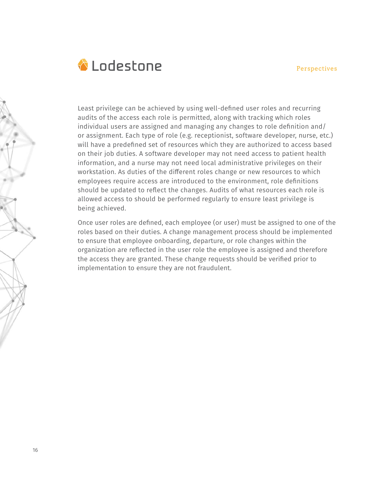

Least privilege can be achieved by using well-defined user roles and recurring audits of the access each role is permitted, along with tracking which roles individual users are assigned and managing any changes to role definition and/ or assignment. Each type of role (e.g. receptionist, software developer, nurse, etc.) will have a predefined set of resources which they are authorized to access based on their job duties. A software developer may not need access to patient health information, and a nurse may not need local administrative privileges on their workstation. As duties of the different roles change or new resources to which employees require access are introduced to the environment, role definitions should be updated to reflect the changes. Audits of what resources each role is allowed access to should be performed regularly to ensure least privilege is being achieved.

Once user roles are defined, each employee (or user) must be assigned to one of the roles based on their duties. A change management process should be implemented to ensure that employee onboarding, departure, or role changes within the organization are reflected in the user role the employee is assigned and therefore the access they are granted. These change requests should be verified prior to implementation to ensure they are not fraudulent.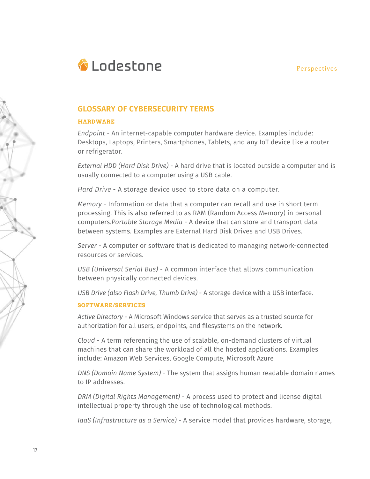

## **GLOSSARY OF CYBERSECURITY TERMS**

#### **HARDWARE**

*Endpoint* - An internet-capable computer hardware device. Examples include: Desktops, Laptops, Printers, Smartphones, Tablets, and any IoT device like a router or refrigerator.

*External HDD (Hard Disk Drive)* - A hard drive that is located outside a computer and is usually connected to a computer using a USB cable.

*Hard Drive* - A storage device used to store data on a computer.

*Memory* - Information or data that a computer can recall and use in short term processing. This is also referred to as RAM (Random Access Memory) in personal computers.*Portable Storage Media* - A device that can store and transport data between systems. Examples are External Hard Disk Drives and USB Drives.

*Server* - A computer or software that is dedicated to managing network-connected resources or services.

*USB (Universal Serial Bus)* - A common interface that allows communication between physically connected devices.

*USB Drive (also Flash Drive, Thumb Drive)* - A storage device with a USB interface.

#### **SOFTWARE/SERVICES**

*Active Directory* - A Microsoft Windows service that serves as a trusted source for authorization for all users, endpoints, and filesystems on the network.

*Cloud* - A term referencing the use of scalable, on-demand clusters of virtual machines that can share the workload of all the hosted applications. Examples include: Amazon Web Services, Google Compute, Microsoft Azure

*DNS (Domain Name System)* - The system that assigns human readable domain names to IP addresses.

*DRM (Digital Rights Management)* - A process used to protect and license digital intellectual property through the use of technological methods.

*IaaS (Infrastructure as a Service)* - A service model that provides hardware, storage,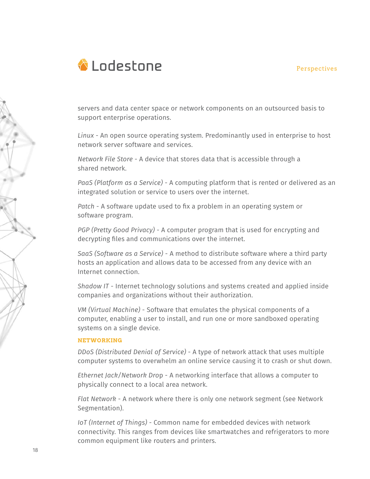

servers and data center space or network components on an outsourced basis to support enterprise operations.

*Linux* - An open source operating system. Predominantly used in enterprise to host network server software and services.

*Network File Store* - A device that stores data that is accessible through a shared network.

*PaaS (Platform as a Service)* - A computing platform that is rented or delivered as an integrated solution or service to users over the internet.

*Patch* - A software update used to fix a problem in an operating system or software program.

*PGP (Pretty Good Privacy)* - A computer program that is used for encrypting and decrypting files and communications over the internet.

*SaaS (Software as a Service)* - A method to distribute software where a third party hosts an application and allows data to be accessed from any device with an Internet connection.

*Shadow IT* - Internet technology solutions and systems created and applied inside companies and organizations without their authorization.

*VM (Virtual Machine)* - Software that emulates the physical components of a computer, enabling a user to install, and run one or more sandboxed operating systems on a single device.

#### **NETWORKING**

*DDoS (Distributed Denial of Service)* - A type of network attack that uses multiple computer systems to overwhelm an online service causing it to crash or shut down.

*Ethernet Jack/Network Dro*p - A networking interface that allows a computer to physically connect to a local area network.

*Flat Network* - A network where there is only one network segment (see Network Segmentation).

*IoT (Internet of Things)* - Common name for embedded devices with network connectivity. This ranges from devices like smartwatches and refrigerators to more common equipment like routers and printers.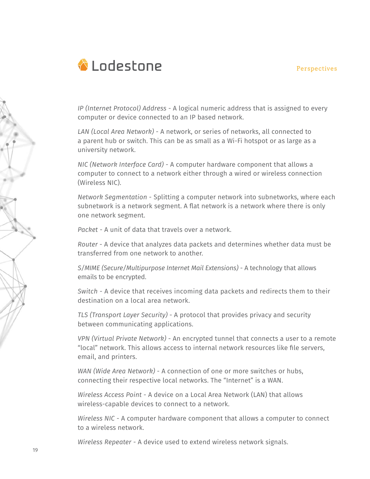

*IP (Internet Protocol) Address* - A logical numeric address that is assigned to every computer or device connected to an IP based network.

*LAN (Local Area Network)* - A network, or series of networks, all connected to a parent hub or switch. This can be as small as a Wi-Fi hotspot or as large as a university network.

*NIC (Network Interface Card)* - A computer hardware component that allows a computer to connect to a network either through a wired or wireless connection (Wireless NIC).

*Network Segmentation* - Splitting a computer network into subnetworks, where each subnetwork is a network segment. A flat network is a network where there is only one network segment.

*Packet* - A unit of data that travels over a network.

*Router* - A device that analyzes data packets and determines whether data must be transferred from one network to another.

*S/MIME (Secure/Multipurpose Internet Mail Extensions)* - A technology that allows emails to be encrypted.

*Switch* - A device that receives incoming data packets and redirects them to their destination on a local area network.

*TLS (Transport Layer Security)* - A protocol that provides privacy and security between communicating applications.

*VPN (Virtual Private Network)* - An encrypted tunnel that connects a user to a remote "local" network. This allows access to internal network resources like file servers, email, and printers.

*WAN (Wide Area Network)* - A connection of one or more switches or hubs, connecting their respective local networks. The "Internet" is a WAN.

*Wireless Access Point* - A device on a Local Area Network (LAN) that allows wireless-capable devices to connect to a network.

*Wireless NIC* - A computer hardware component that allows a computer to connect to a wireless network.

*Wireless Repeater* - A device used to extend wireless network signals.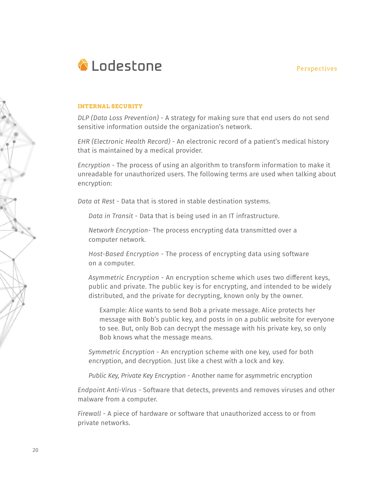

#### **INTERNAL SECURITY**

*DLP (Data Loss Prevention)* - A strategy for making sure that end users do not send sensitive information outside the organization's network.

*EHR (Electronic Health Record)* - An electronic record of a patient's medical history that is maintained by a medical provider.

*Encryption* - The process of using an algorithm to transform information to make it unreadable for unauthorized users. The following terms are used when talking about encryption:

*Data at Rest* - Data that is stored in stable destination systems.

*Data in Transit* - Data that is being used in an IT infrastructure.

*Network Encryption*- The process encrypting data transmitted over a computer network.

*Host-Based Encryption* - The process of encrypting data using software on a computer.

*Asymmetric Encryption* - An encryption scheme which uses two different keys, public and private. The public key is for encrypting, and intended to be widely distributed, and the private for decrypting, known only by the owner.

Example: Alice wants to send Bob a private message. Alice protects her message with Bob's public key, and posts in on a public website for everyone to see. But, only Bob can decrypt the message with his private key, so only Bob knows what the message means.

*Symmetric Encryption* - An encryption scheme with one key, used for both encryption, and decryption. Just like a chest with a lock and key.

*Public Key, Private Key Encryption* - Another name for asymmetric encryption

*Endpoint Anti-Virus* - Software that detects, prevents and removes viruses and other malware from a computer.

*Firewall* - A piece of hardware or software that unauthorized access to or from private networks.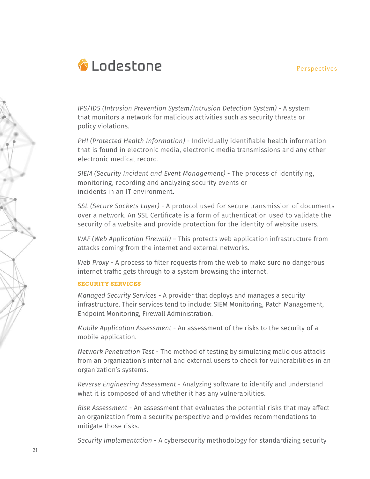

*IPS/IDS (Intrusion Prevention System/Intrusion Detection System)* - A system that monitors a network for malicious activities such as security threats or policy violations.

*PHI (Protected Health Information)* - Individually identifiable health information that is found in electronic media, electronic media transmissions and any other electronic medical record.

*SIEM (Security Incident and Event Management)* - The process of identifying, monitoring, recording and analyzing security events or incidents in an IT environment.

*SSL (Secure Sockets Layer)* - A protocol used for secure transmission of documents over a network. An SSL Certificate is a form of authentication used to validate the security of a website and provide protection for the identity of website users.

*WAF (Web Application Firewall)* – This protects web application infrastructure from attacks coming from the internet and external networks.

*Web Proxy* - A process to filter requests from the web to make sure no dangerous internet traffic gets through to a system browsing the internet.

#### **SECURITY SERVICES**

*Managed Security Services* - A provider that deploys and manages a security infrastructure. Their services tend to include: SIEM Monitoring, Patch Management, Endpoint Monitoring, Firewall Administration.

*Mobile Application Assessment* - An assessment of the risks to the security of a mobile application.

*Network Penetration Test* - The method of testing by simulating malicious attacks from an organization's internal and external users to check for vulnerabilities in an organization's systems.

*Reverse Engineering Assessment* - Analyzing software to identify and understand what it is composed of and whether it has any vulnerabilities.

*Risk Assessment* - An assessment that evaluates the potential risks that may affect an organization from a security perspective and provides recommendations to mitigate those risks.

*Security Implementation* - A cybersecurity methodology for standardizing security